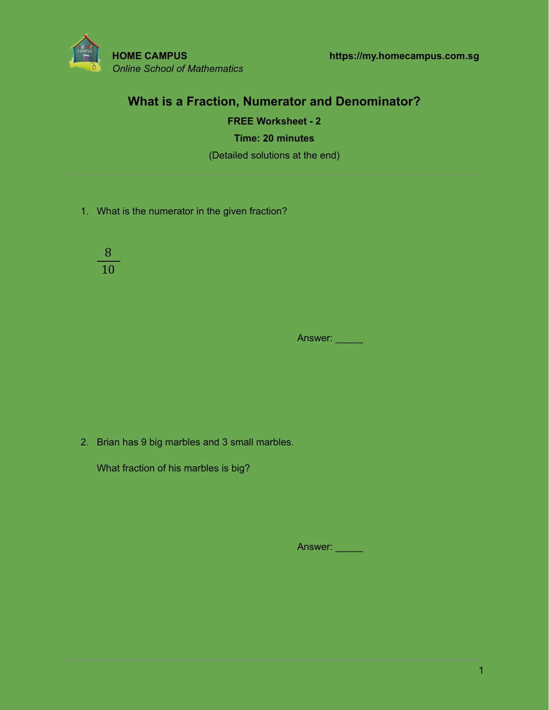

# **What is a Fraction, Numerator and Denominator?**

**FREE Worksheet - 2 Time: 20 minutes** (Detailed solutions at the end)

1. What is the numerator in the given fraction?

8 10

Answer:

2. Brian has 9 big marbles and 3 small marbles.

What fraction of his marbles is big?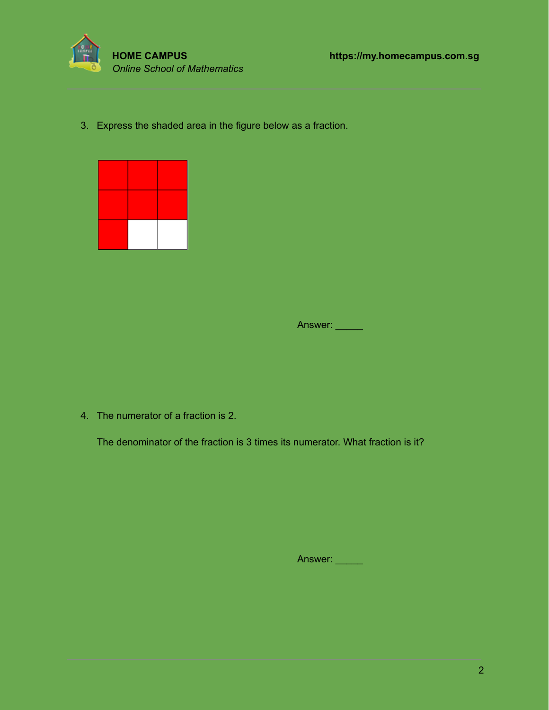

3. Express the shaded area in the figure below as a fraction.



Answer:

4. The numerator of a fraction is 2.

The denominator of the fraction is 3 times its numerator. What fraction is it?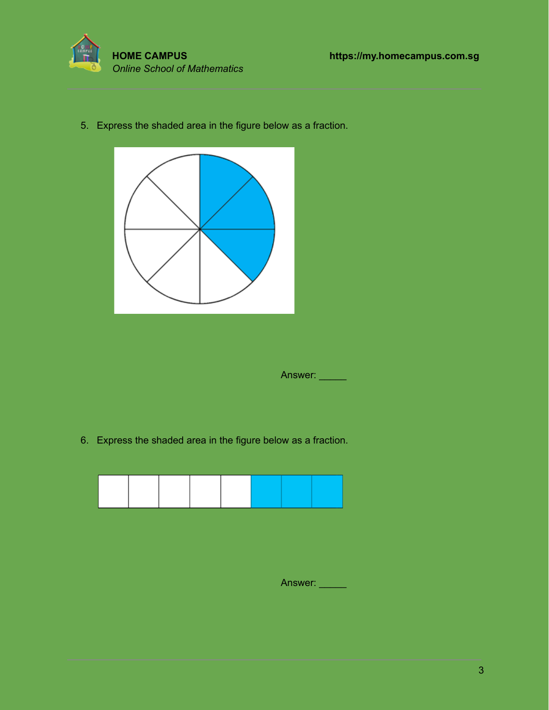

5. Express the shaded area in the figure below as a fraction.



Answer:

6. Express the shaded area in the figure below as a fraction.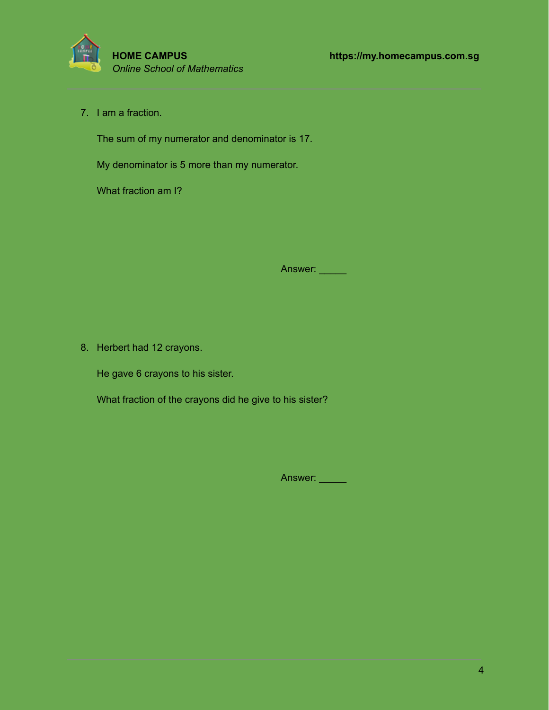

7. I am a fraction.

The sum of my numerator and denominator is 17.

My denominator is 5 more than my numerator.

What fraction am I?

Answer:

8. Herbert had 12 crayons.

He gave 6 crayons to his sister.

What fraction of the crayons did he give to his sister?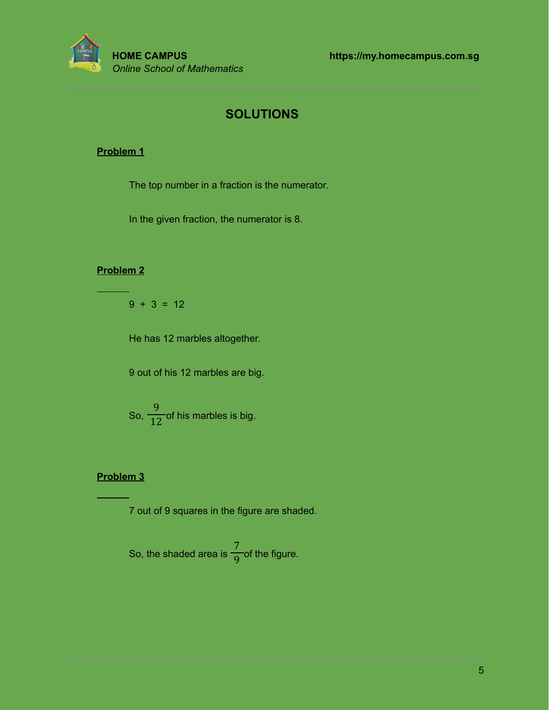

# **SOLUTIONS**

#### **Problem 1**

The top number in a fraction is the numerator.

In the given fraction, the numerator is 8.

#### **Problem 2**

 $9 + 3 = 12$ 

He has 12 marbles altogether.

9 out of his 12 marbles are big.

So,  $\frac{1}{12}$  of his marbles is big. 9 12

#### **Problem 3**

7 out of 9 squares in the figure are shaded.

So, the shaded area is  $\frac{1}{\sqrt{2}}$  of the figure. 7 9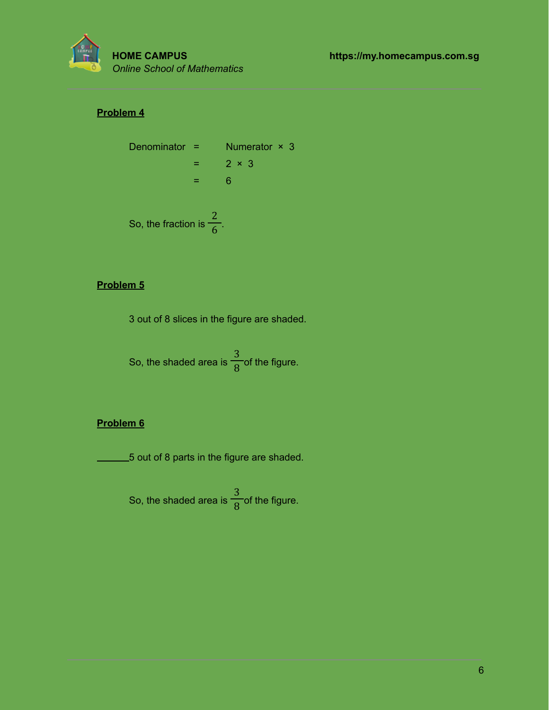

### **Problem 4**

Denominator =   
\n= 
$$
2 \times 3
$$
  
\n=  $6$   
\nSo, the fraction is  $\frac{2}{6}$ .

#### **Problem 5**

3 out of 8 slices in the figure are shaded.

So, the shaded area is  $\frac{1}{\sqrt{2}}$  of the figure. 3 8

### **Problem 6**

5 out of 8 parts in the figure are shaded.

So, the shaded area is  $\frac{1}{\sqrt{2}}$  of the figure. 3 8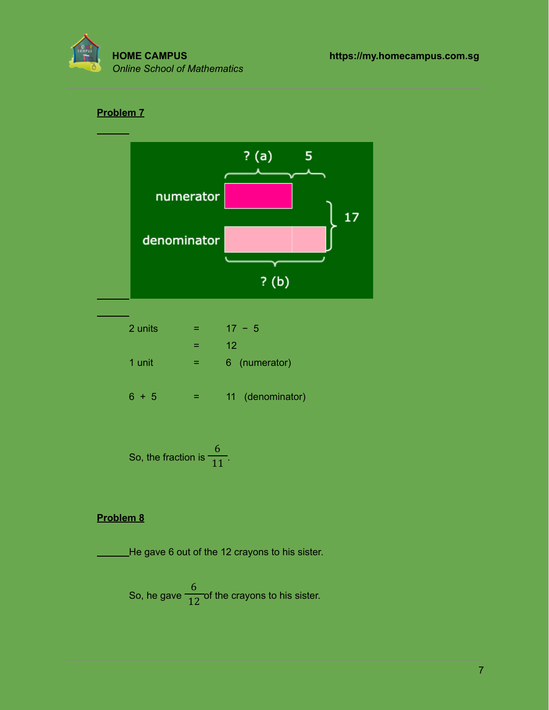

## **Problem 7**



| 2 units |   | $17 - 5$         |  |  |
|---------|---|------------------|--|--|
|         |   | 12               |  |  |
| 1 unit  | = | 6 (numerator)    |  |  |
| $+5$    |   | 11 (denominator) |  |  |

So, the fraction is 
$$
\frac{6}{11}
$$
.

#### **Problem 8**

He gave 6 out of the 12 crayons to his sister.

So, he gave  $\frac{1}{12}$  of the crayons to his sister. 6 12